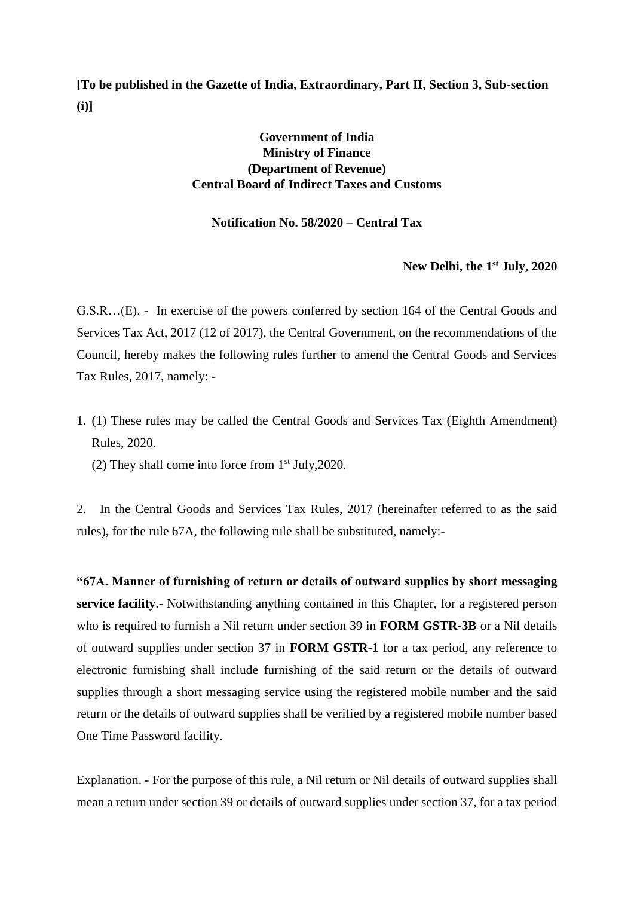**[To be published in the Gazette of India, Extraordinary, Part II, Section 3, Sub-section (i)]**

## **Government of India Ministry of Finance (Department of Revenue) Central Board of Indirect Taxes and Customs**

## **Notification No. 58/2020 – Central Tax**

## **New Delhi, the 1 st July, 2020**

G.S.R…(E). - In exercise of the powers conferred by section 164 of the Central Goods and Services Tax Act, 2017 (12 of 2017), the Central Government, on the recommendations of the Council, hereby makes the following rules further to amend the Central Goods and Services Tax Rules, 2017, namely: -

1. (1) These rules may be called the Central Goods and Services Tax (Eighth Amendment) Rules, 2020.

(2) They shall come into force from  $1<sup>st</sup>$  July, 2020.

2. In the Central Goods and Services Tax Rules, 2017 (hereinafter referred to as the said rules), for the rule 67A, the following rule shall be substituted, namely:-

**"67A. Manner of furnishing of return or details of outward supplies by short messaging service facility**.- Notwithstanding anything contained in this Chapter, for a registered person who is required to furnish a Nil return under section 39 in **FORM GSTR-3B** or a Nil details of outward supplies under section 37 in **FORM GSTR-1** for a tax period, any reference to electronic furnishing shall include furnishing of the said return or the details of outward supplies through a short messaging service using the registered mobile number and the said return or the details of outward supplies shall be verified by a registered mobile number based One Time Password facility.

Explanation. - For the purpose of this rule, a Nil return or Nil details of outward supplies shall mean a return under section 39 or details of outward supplies under section 37, for a tax period